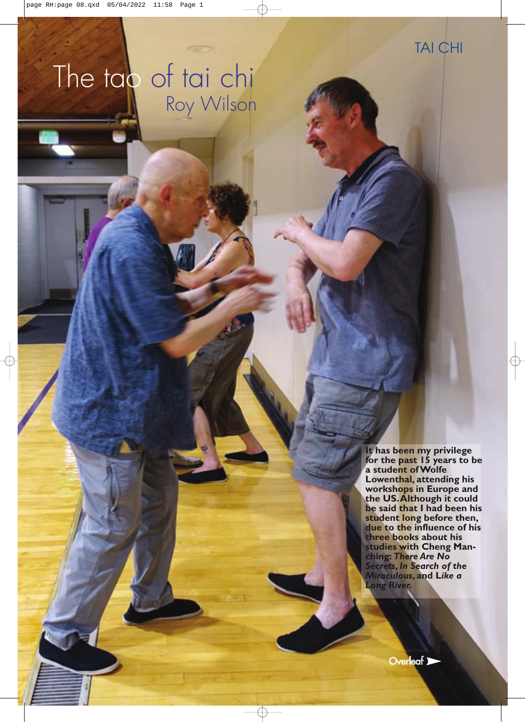# The tao of tai chi Roy Wilson

**It has been my privilege for the past 15 years to be a student of Wolfe Lowenthal, attending his workshops in Europe and the US. Although it could be said that I had been his student long before then, due to the influence of his three books about his studies with Cheng Manching:** *There Are No Secrets***,** *In Search of the Miraculous***, and L***ike a Long River.*

**Overleaf**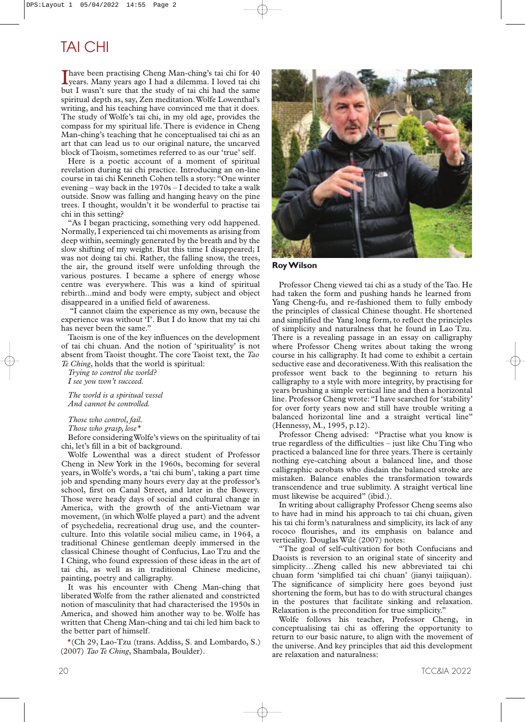## TAI CHI

Thave been practising Cheng Man-ching's tai chi for 40<br>years. Many years ago I had a dilemma. I loved tai chi have been practising Cheng Man-ching's tai chi for 40 but I wasn't sure that the study of tai chi had the same spiritual depth as, say, Zen meditation.Wolfe Lowenthal's writing, and his teaching have convinced me that it does. The study of Wolfe's tai chi, in my old age, provides the compass for my spiritual life. There is evidence in Cheng Man-ching's teaching that he conceptualised tai chi as an art that can lead us to our original nature, the uncarved block of Taoism, sometimes referred to as our 'true' self.

Here is a poetic account of a moment of spiritual revelation during tai chi practice. Introducing an on-line course in tai chi Kenneth Cohen tells a story: "One winter evening – way back in the 1970s – I decided to take a walk outside. Snow was falling and hanging heavy on the pine trees. I thought, wouldn't it be wonderful to practise tai chi in this setting?

"As I began practicing, something very odd happened. Normally, I experienced tai chi movements as arising from deep within, seemingly generated by the breath and by the slow shifting of my weight. But this time I disappeared; I was not doing tai chi. Rather, the falling snow, the trees, the air, the ground itself were unfolding through the various postures. I became a sphere of energy whose centre was everywhere. This was a kind of spiritual rebirth...mind and body were empty, subject and object disappeared in a unified field of awareness.

"I cannot claim the experience as my own, because the experience was without 'I'. But I do know that my tai chi has never been the same."

Taoism is one of the key influences on the development of tai chi chuan. And the notion of 'spirituality' is not absent from Taoist thought. The core Taoist text, the *Tao Te Ching*, holds that the world is spiritual:

*Trying to control the world? I see you won't succeed.*

*The world is a spiritual vessel And cannot be controlled.*

*Those who control, fail.*

*Those who grasp, lose\**

Before consideringWolfe's views on the spirituality of tai chi, let's fill in a bit of background.

Wolfe Lowenthal was a direct student of Professor Cheng in New York in the 1960s, becoming for several years, inWolfe's words, a 'tai chi bum', taking a part time job and spending many hours every day at the professor's school, first on Canal Street, and later in the Bowery. Those were heady days of social and cultural change in America, with the growth of the anti-Vietnam war movement, (in whichWolfe played a part) and the advent of psychedelia, recreational drug use, and the counterculture. Into this volatile social milieu came, in 1964, a traditional Chinese gentleman deeply immersed in the classical Chinese thought of Confucius, Lao Tzu and the I Ching, who found expression of these ideas in the art of tai chi, as well as in traditional Chinese medicine, painting, poetry and calligraphy.

It was his encounter with Cheng Man-ching that liberated Wolfe from the rather alienated and constricted notion of masculinity that had characterised the 1950s in America, and showed him another way to be. Wolfe has written that Cheng Man-ching and tai chi led him back to the better part of himself.

\*(Ch 29, Lao-Tzu (trans. Addiss, S. and Lombardo, S.) (2007) *Tao Te Ching*, Shambala, Boulder).



**RoyWilson**

Professor Cheng viewed tai chi as a study of the Tao. He had taken the form and pushing hands he learned from Yang Cheng-fu, and re-fashioned them to fully embody the principles of classical Chinese thought. He shortened and simplified the Yang long form, to reflect the principles of simplicity and naturalness that he found in Lao Tzu. There is a revealing passage in an essay on calligraphy where Professor Cheng writes about taking the wrong course in his calligraphy. It had come to exhibit a certain seductive ease and decorativeness.With this realisation the professor went back to the beginning to return his calligraphy to a style with more integrity, by practising for years brushing a simple vertical line and then a horizontal line. Professor Cheng wrote: "I have searched for 'stability' for over forty years now and still have trouble writing a balanced horizontal line and a straight vertical line" (Hennessy, M., 1995, p.12).

Professor Cheng advised: "Practise what you know is true regardless of the difficulties – just like Chu Ting who practiced a balanced line for three years.There is certainly nothing eye-catching about a balanced line, and those calligraphic acrobats who disdain the balanced stroke are mistaken. Balance enables the transformation towards transcendence and true sublimity. A straight vertical line must likewise be acquired" (ibid.).

In writing about calligraphy Professor Cheng seems also to have had in mind his approach to tai chi chuan, given his tai chi form's naturalness and simplicity, its lack of any rococo flourishes, and its emphasis on balance and verticality. DouglasWile (2007) notes:

"The goal of self-cultivation for both Confucians and Daoists is reversion to an original state of sincerity and simplicity…Zheng called his new abbreviated tai chi chuan form 'simplified tai chi chuan' (jianyi taijiquan). The significance of simplicity here goes beyond just shortening the form, but has to do with structural changes in the postures that facilitate sinking and relaxation. Relaxation is the precondition for true simplicity."

Wolfe follows his teacher, Professor Cheng, in conceptualising tai chi as offering the opportunity to return to our basic nature, to align with the movement of the universe. And key principles that aid this development are relaxation and naturalness: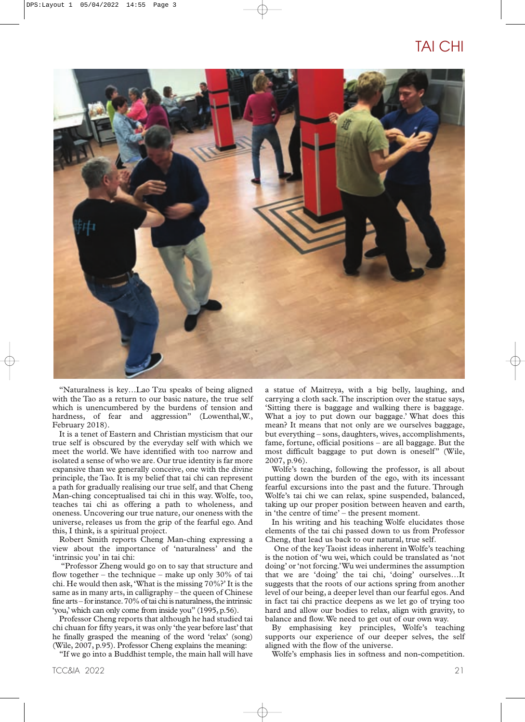### TAI CHI



"Naturalness is key…Lao Tzu speaks of being aligned with the Tao as a return to our basic nature, the true self which is unencumbered by the burdens of tension and hardness, of fear and aggression" (Lowenthal,W., February 2018).

It is a tenet of Eastern and Christian mysticism that our true self is obscured by the everyday self with which we meet the world. We have identified with too narrow and isolated a sense of who we are. Our true identity is far more expansive than we generally conceive, one with the divine principle, the Tao. It is my belief that tai chi can represent a path for gradually realising our true self, and that Cheng Man-ching conceptualised tai chi in this way. Wolfe, too, teaches tai chi as offering a path to wholeness, and oneness. Uncovering our true nature, our oneness with the universe, releases us from the grip of the fearful ego. And this, I think, is a spiritual project.

Robert Smith reports Cheng Man-ching expressing a view about the importance of 'naturalness' and the 'intrinsic you' in tai chi:

"Professor Zheng would go on to say that structure and flow together – the technique – make up only  $30\%$  of tai chi. He would then ask,'What is the missing 70%?' It is the same as in many arts, in calligraphy – the queen of Chinese fine arts – for instance.70% of tai chi is naturalness, the intrinsic 'you,' which can only come from inside you" (1995, p.56).

Professor Cheng reports that although he had studied tai chi chuan for fifty years, it was only 'the year before last' that he finally grasped the meaning of the word 'relax' (song) (Wile, 2007, p.95). Professor Cheng explains the meaning:

"If we go into a Buddhist temple, the main hall will have

TCC&IA 2022 21

a statue of Maitreya, with a big belly, laughing, and carrying a cloth sack.The inscription over the statue says, 'Sitting there is baggage and walking there is baggage. What a joy to put down our baggage.' What does this mean? It means that not only are we ourselves baggage, but everything – sons, daughters, wives, accomplishments, fame, fortune, official positions – are all baggage. But the most difficult baggage to put down is oneself" (Wile, 2007, p.96).

Wolfe's teaching, following the professor, is all about putting down the burden of the ego, with its incessant fearful excursions into the past and the future. Through Wolfe's tai chi we can relax, spine suspended, balanced, taking up our proper position between heaven and earth, in 'the centre of time' – the present moment.

In his writing and his teaching Wolfe elucidates those elements of the tai chi passed down to us from Professor Cheng, that lead us back to our natural, true self.

One of the key Taoist ideas inherent inWolfe's teaching is the notion of 'wu wei, which could be translated as 'not doing' or 'not forcing.'Wu wei undermines the assumption that we are 'doing' the tai chi, 'doing' ourselves…It suggests that the roots of our actions spring from another level of our being, a deeper level than our fearful egos. And in fact tai chi practice deepens as we let go of trying too hard and allow our bodies to relax, align with gravity, to balance and flow.We need to get out of our own way.

By emphasising key principles, Wolfe's teaching supports our experience of our deeper selves, the self aligned with the flow of the universe.

Wolfe's emphasis lies in softness and non-competition.